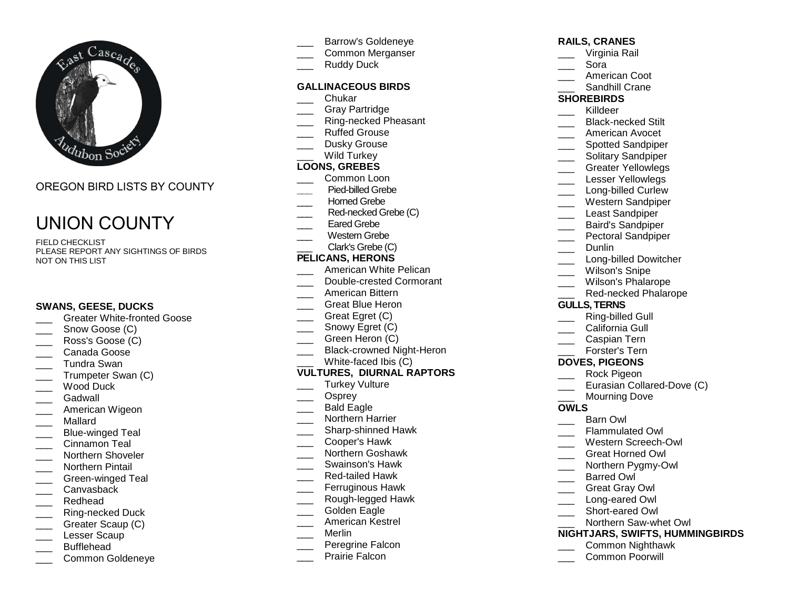

# OREGON BIRD LISTS BY COUNTY

# UNION COUNTY

FIELD CHECKLIST PLEASE REPORT ANY SIGHTINGS OF BIRDS NOT ON THIS LIST

## **SWANS, GEESE, DUCKS**

- \_\_\_ Greater White-fronted Goose
- Snow Goose (C)
- \_\_\_ Ross's Goose (C)
- \_\_\_ Canada Goose
- \_\_\_ Tundra Swan
- \_\_\_ Trumpeter Swan (C)
- Wood Duck
- Gadwall
- \_\_\_ American Wigeon
- \_\_\_ Mallard
- \_\_\_ Blue-winged Teal
- \_\_\_ Cinnamon Teal
- \_\_\_\_ Northern Shoveler
- \_\_\_ Northern Pintail
- \_\_\_ Green-winged Teal
- Canvasback
- \_\_\_ Redhead
- \_\_\_ Ring-necked Duck
- \_\_\_ Greater Scaup (C)
- Lesser Scaup
- \_\_\_ Bufflehead
- \_\_\_ Common Goldeneye
- \_\_\_ Barrow's Goldeneye
- \_\_\_ Common Merganser
- Ruddy Duck

#### **GALLINACEOUS BIRDS**

- \_\_\_ Chukar
- \_\_\_ Gray Partridge
- \_\_\_ Ring-necked Pheasant
- Ruffed Grouse
- \_\_\_ Dusky Grouse
- Wild Turkey

## **LOONS, GREBES**

- \_\_\_ Common Loon
- **\_\_\_** Pied-billed Grebe
- Horned Grebe
- \_\_\_ Red-necked Grebe (C)
- Eared Grebe
- \_\_\_ Western Grebe
- \_\_\_ Clark's Grebe (C)

#### **PELICANS, HERONS**

- \_\_\_ American White Pelican
- \_\_\_ Double-crested Cormorant
- \_\_\_ American Bittern
- \_\_\_ Great Blue Heron
- Great Egret (C)
- \_\_\_ Snowy Egret (C)
- \_\_\_ Green Heron (C)
- \_\_\_ Black-crowned Night-Heron
- White-faced Ibis (C)

## **VULTURES, DIURNAL RAPTORS**

- Turkey Vulture
- Osprey
- \_\_\_ Bald Eagle
- \_\_\_ Northern Harrier
- \_\_\_\_ Sharp-shinned Hawk
- \_\_\_ Cooper's Hawk
- \_\_\_ Northern Goshawk
- \_\_\_ Swainson's Hawk
- \_\_\_ Red-tailed Hawk
- \_\_\_ Ferruginous Hawk
- \_\_\_ Rough-legged Hawk
- \_\_\_ Golden Eagle
- \_\_\_ American Kestrel
- \_\_\_ Merlin
- \_\_\_ Peregrine Falcon
- Prairie Falcon

## **RAILS, CRANES**

- \_\_\_ Virginia Rail
- \_\_\_ Sora
- \_\_\_ American Coot
- \_\_\_ Sandhill Crane

## **SHOREBIRDS**

- \_\_\_ Killdeer
- \_\_\_\_ Black-necked Stilt
- \_\_\_ American Avocet
- \_\_\_\_ Spotted Sandpiper
- \_\_\_ Solitary Sandpiper
- \_\_\_ Greater Yellowlegs
- 
- \_\_\_ Lesser Yellowlegs
- \_\_\_\_ Long-billed Curlew
- \_\_\_ Western Sandpiper
- Least Sandpiper
- \_\_\_ Baird's Sandpiper
- \_\_\_ Pectoral Sandpiper
- Dunlin
- \_\_\_\_ Long-billed Dowitcher
- Wilson's Snipe
- \_\_\_ Wilson's Phalarope
- \_\_\_ Red-necked Phalarope

\_\_\_ Eurasian Collared-Dove (C) Mourning Dove

\_\_\_ Northern Saw-whet Owl

\_\_\_ Common Nighthawk \_\_\_ Common Poorwill

**NIGHTJARS, SWIFTS, HUMMINGBIRDS**

#### **GULLS, TERNS**

- \_\_\_ Ring-billed Gull
- California Gull
- Caspian Tern \_\_\_ Forster's Tern

**DOVES, PIGEONS** \_\_\_ Rock Pigeon

Barn Owl \_\_\_ Flammulated Owl \_\_\_ Western Screech-Owl \_\_\_ Great Horned Owl \_\_\_ Northern Pygmy-Owl Barred Owl \_\_\_ Great Gray Owl \_\_\_ Long-eared Owl \_\_\_\_ Short-eared Owl

**OWLS**